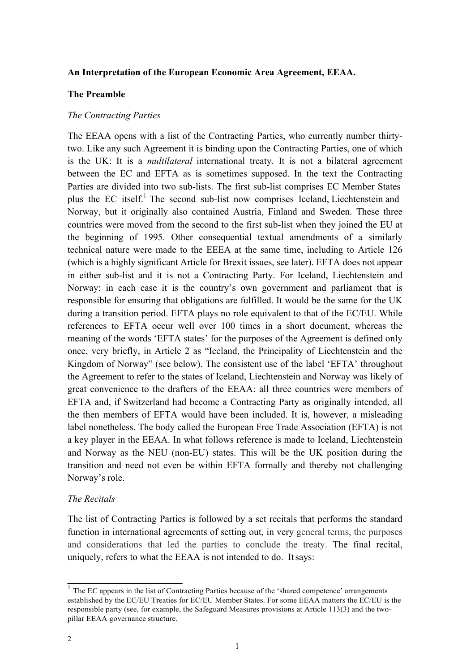#### **An Interpretation of the European Economic Area Agreement, EEAA.**

#### **The Preamble**

#### *The Contracting Parties*

The EEAA opens with a list of the Contracting Parties, who currently number thirtytwo. Like any such Agreement it is binding upon the Contracting Parties, one of which is the UK: It is a *multilateral* international treaty. It is not a bilateral agreement between the EC and EFTA as is sometimes supposed. In the text the Contracting Parties are divided into two sub-lists. The first sub-list comprises EC Member States plus the EC itself.1 The second sub-list now comprises Iceland, Liechtenstein and Norway, but it originally also contained Austria, Finland and Sweden. These three countries were moved from the second to the first sub-list when they joined the EU at the beginning of 1995. Other consequential textual amendments of a similarly technical nature were made to the EEEA at the same time, including to Article 126 (which is a highly significant Article for Brexit issues, see later). EFTA does not appear in either sub-list and it is not a Contracting Party. For Iceland, Liechtenstein and Norway: in each case it is the country's own government and parliament that is responsible for ensuring that obligations are fulfilled. It would be the same for the UK during a transition period. EFTA plays no role equivalent to that of the EC/EU. While references to EFTA occur well over 100 times in a short document, whereas the meaning of the words 'EFTA states' for the purposes of the Agreement is defined only once, very briefly, in Article 2 as "Iceland, the Principality of Liechtenstein and the Kingdom of Norway" (see below). The consistent use of the label 'EFTA' throughout the Agreement to refer to the states of Iceland, Liechtenstein and Norway was likely of great convenience to the drafters of the EEAA: all three countries were members of EFTA and, if Switzerland had become a Contracting Party as originally intended, all the then members of EFTA would have been included. It is, however, a misleading label nonetheless. The body called the European Free Trade Association (EFTA) is not a key player in the EEAA. In what follows reference is made to Iceland, Liechtenstein and Norway as the NEU (non-EU) states. This will be the UK position during the transition and need not even be within EFTA formally and thereby not challenging Norway's role.

#### *The Recitals*

The list of Contracting Parties is followed by a set recitals that performs the standard function in international agreements of setting out, in very general terms, the purposes and considerations that led the parties to conclude the treaty. The final recital, uniquely, refers to what the EEAA is not intended to do. Itsays:

<sup>&</sup>lt;sup>1</sup> The EC appears in the list of Contracting Parties because of the 'shared competence' arrangements established by the EC/EU Treaties for EC/EU Member States. For some EEAA matters the EC/EU is the responsible party (see, for example, the Safeguard Measures provisions at Article 113(3) and the twopillar EEAA governance structure.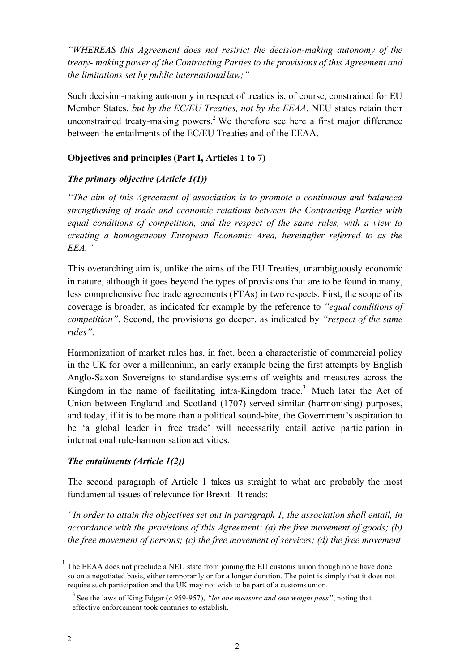*"WHEREAS this Agreement does not restrict the decision-making autonomy of the treaty- making power of the Contracting Parties to the provisions of this Agreement and the limitations set by public internationallaw;"*

Such decision-making autonomy in respect of treaties is, of course, constrained for EU Member States, *but by the EC/EU Treaties, not by the EEAA*. NEU states retain their unconstrained treaty-making powers.<sup>2</sup> We therefore see here a first major difference between the entailments of the EC/EU Treaties and of the EEAA.

## **Objectives and principles (Part I, Articles 1 to 7)**

## *The primary objective (Article 1(1))*

*"The aim of this Agreement of association is to promote a continuous and balanced strengthening of trade and economic relations between the Contracting Parties with equal conditions of competition, and the respect of the same rules, with a view to creating a homogeneous European Economic Area, hereinafter referred to as the EEA."*

This overarching aim is, unlike the aims of the EU Treaties, unambiguously economic in nature, although it goes beyond the types of provisions that are to be found in many, less comprehensive free trade agreements (FTAs) in two respects. First, the scope of its coverage is broader, as indicated for example by the reference to *"equal conditions of competition"*. Second, the provisions go deeper, as indicated by *"respect of the same rules"*.

Harmonization of market rules has, in fact, been a characteristic of commercial policy in the UK for over a millennium, an early example being the first attempts by English Anglo-Saxon Sovereigns to standardise systems of weights and measures across the Kingdom in the name of facilitating intra-Kingdom trade.3 Much later the Act of Union between England and Scotland (1707) served similar (harmonising) purposes, and today, if it is to be more than a political sound-bite, the Government's aspiration to be 'a global leader in free trade' will necessarily entail active participation in international rule-harmonisation activities.

## *The entailments (Article 1(2))*

The second paragraph of Article 1 takes us straight to what are probably the most fundamental issues of relevance for Brexit. It reads:

*"In order to attain the objectives set out in paragraph 1, the association shall entail, in accordance with the provisions of this Agreement: (a) the free movement of goods; (b) the free movement of persons; (c) the free movement of services; (d) the free movement*

 $1$  The EEAA does not preclude a NEU state from joining the EU customs union though none have done so on a negotiated basis, either temporarily or for a longer duration. The point is simply that it does not require such participation and the UK may not wish to be part of a customs union.

<sup>3</sup> See the laws of King Edgar (*c*.959-957), *"let one measure and one weight pass"*, noting that effective enforcement took centuries to establish.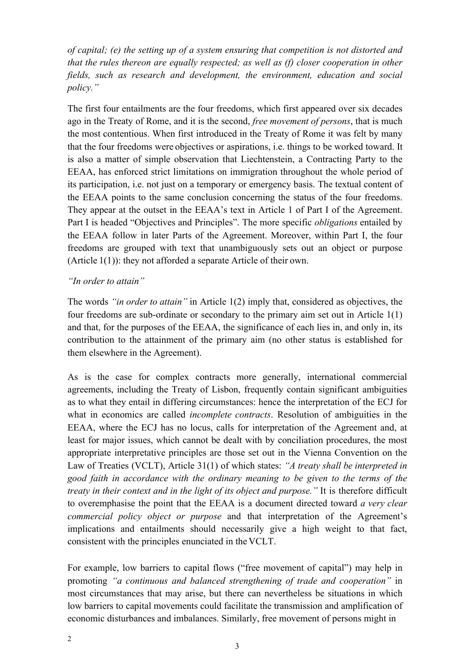*of capital; (e) the setting up of a system ensuring that competition is not distorted and that the rules thereon are equally respected; as well as (f) closer cooperation in other fields, such as research and development, the environment, education and social policy."*

The first four entailments are the four freedoms, which first appeared over six decades ago in the Treaty of Rome, and it is the second, *free movement of persons*, that is much the most contentious. When first introduced in the Treaty of Rome it was felt by many that the four freedoms were objectives or aspirations, i.e. things to be worked toward. It is also a matter of simple observation that Liechtenstein, a Contracting Party to the EEAA, has enforced strict limitations on immigration throughout the whole period of its participation, i.e. not just on a temporary or emergency basis. The textual content of the EEAA points to the same conclusion concerning the status of the four freedoms. They appear at the outset in the EEAA's text in Article 1 of Part I of the Agreement. Part I is headed "Objectives and Principles". The more specific *obligations* entailed by the EEAA follow in later Parts of the Agreement. Moreover, within Part I, the four freedoms are grouped with text that unambiguously sets out an object or purpose (Article 1(1)): they not afforded a separate Article of their own.

## *"In order to attain"*

The words *"in order to attain"* in Article 1(2) imply that, considered as objectives, the four freedoms are sub-ordinate or secondary to the primary aim set out in Article 1(1) and that, for the purposes of the EEAA, the significance of each lies in, and only in, its contribution to the attainment of the primary aim (no other status is established for them elsewhere in the Agreement).

As is the case for complex contracts more generally, international commercial agreements, including the Treaty of Lisbon, frequently contain significant ambiguities as to what they entail in differing circumstances: hence the interpretation of the ECJ for what in economics are called *incomplete contracts*. Resolution of ambiguities in the EEAA, where the ECJ has no locus, calls for interpretation of the Agreement and, at least for major issues, which cannot be dealt with by conciliation procedures, the most appropriate interpretative principles are those set out in the Vienna Convention on the Law of Treaties (VCLT), Article 31(1) of which states: *"A treaty shall be interpreted in good faith in accordance with the ordinary meaning to be given to the terms of the treaty in their context and in the light of its object and purpose."* It is therefore difficult to overemphasise the point that the EEAA is a document directed toward *a very clear commercial policy object or purpose* and that interpretation of the Agreement's implications and entailments should necessarily give a high weight to that fact, consistent with the principles enunciated in the VCLT.

For example, low barriers to capital flows ("free movement of capital") may help in promoting *"a continuous and balanced strengthening of trade and cooperation"* in most circumstances that may arise, but there can nevertheless be situations in which low barriers to capital movements could facilitate the transmission and amplification of economic disturbances and imbalances. Similarly, free movement of persons might in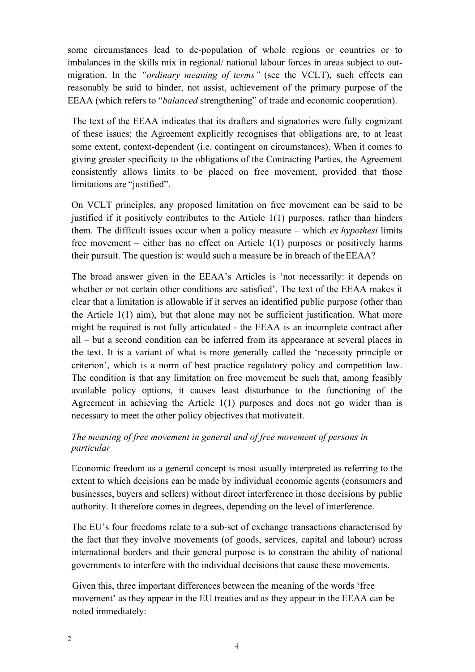some circumstances lead to de-population of whole regions or countries or to imbalances in the skills mix in regional/ national labour forces in areas subject to outmigration. In the *"ordinary meaning of terms"* (see the VCLT), such effects can reasonably be said to hinder, not assist, achievement of the primary purpose of the EEAA (which refers to "*balanced* strengthening" of trade and economic cooperation).

The text of the EEAA indicates that its drafters and signatories were fully cognizant of these issues: the Agreement explicitly recognises that obligations are, to at least some extent, context-dependent (i.e. contingent on circumstances). When it comes to giving greater specificity to the obligations of the Contracting Parties, the Agreement consistently allows limits to be placed on free movement, provided that those limitations are "justified".

On VCLT principles, any proposed limitation on free movement can be said to be justified if it positively contributes to the Article  $1(1)$  purposes, rather than hinders them. The difficult issues occur when a policy measure – which *ex hypothesi* limits free movement – either has no effect on Article 1(1) purposes or positively harms their pursuit. The question is: would such a measure be in breach of theEEAA?

The broad answer given in the EEAA's Articles is 'not necessarily: it depends on whether or not certain other conditions are satisfied'. The text of the EEAA makes it clear that a limitation is allowable if it serves an identified public purpose (other than the Article 1(1) aim), but that alone may not be sufficient justification. What more might be required is not fully articulated - the EEAA is an incomplete contract after all – but a second condition can be inferred from its appearance at several places in the text. It is a variant of what is more generally called the 'necessity principle or criterion', which is a norm of best practice regulatory policy and competition law. The condition is that any limitation on free movement be such that, among feasibly available policy options, it causes least disturbance to the functioning of the Agreement in achieving the Article 1(1) purposes and does not go wider than is necessary to meet the other policy objectives that motivateit.

## *The meaning of free movement in general and of free movement of persons in particular*

Economic freedom as a general concept is most usually interpreted as referring to the extent to which decisions can be made by individual economic agents (consumers and businesses, buyers and sellers) without direct interference in those decisions by public authority. It therefore comes in degrees, depending on the level of interference.

The EU's four freedoms relate to a sub-set of exchange transactions characterised by the fact that they involve movements (of goods, services, capital and labour) across international borders and their general purpose is to constrain the ability of national governments to interfere with the individual decisions that cause these movements.

Given this, three important differences between the meaning of the words 'free movement' as they appear in the EU treaties and as they appear in the EEAA can be noted immediately: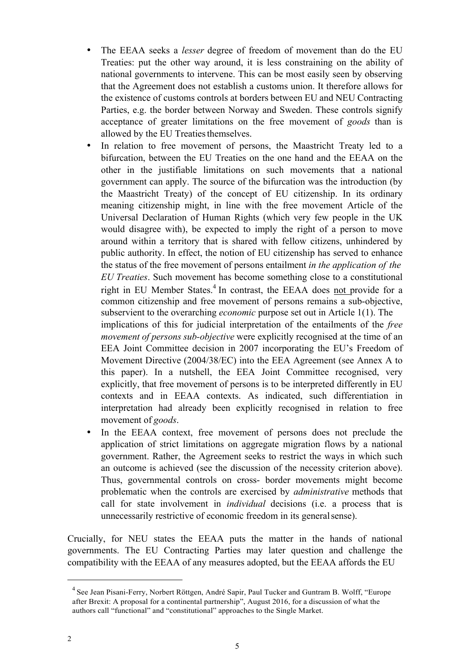- The EEAA seeks a *lesser* degree of freedom of movement than do the EU Treaties: put the other way around, it is less constraining on the ability of national governments to intervene. This can be most easily seen by observing that the Agreement does not establish a customs union. It therefore allows for the existence of customs controls at borders between EU and NEU Contracting Parties, e.g. the border between Norway and Sweden. These controls signify acceptance of greater limitations on the free movement of *goods* than is allowed by the EU Treaties themselves.
- In relation to free movement of persons, the Maastricht Treaty led to a bifurcation, between the EU Treaties on the one hand and the EEAA on the other in the justifiable limitations on such movements that a national government can apply. The source of the bifurcation was the introduction (by the Maastricht Treaty) of the concept of EU citizenship. In its ordinary meaning citizenship might, in line with the free movement Article of the Universal Declaration of Human Rights (which very few people in the UK would disagree with), be expected to imply the right of a person to move around within a territory that is shared with fellow citizens, unhindered by public authority. In effect, the notion of EU citizenship has served to enhance the status of the free movement of persons entailment *in the application of the EU Treaties*. Such movement has become something close to a constitutional right in EU Member States.<sup>4</sup> In contrast, the EEAA does not provide for a common citizenship and free movement of persons remains a sub-objective, subservient to the overarching *economic* purpose set out in Article 1(1). The implications of this for judicial interpretation of the entailments of the *free movement of persons sub-objective* were explicitly recognised at the time of an EEA Joint Committee decision in 2007 incorporating the EU's Freedom of Movement Directive (2004/38/EC) into the EEA Agreement (see Annex A to this paper). In a nutshell, the EEA Joint Committee recognised, very explicitly, that free movement of persons is to be interpreted differently in EU contexts and in EEAA contexts. As indicated, such differentiation in interpretation had already been explicitly recognised in relation to free movement of *goods*.
- In the EEAA context, free movement of persons does not preclude the application of strict limitations on aggregate migration flows by a national government. Rather, the Agreement seeks to restrict the ways in which such an outcome is achieved (see the discussion of the necessity criterion above). Thus, governmental controls on cross- border movements might become problematic when the controls are exercised by *administrative* methods that call for state involvement in *individual* decisions (i.e. a process that is unnecessarily restrictive of economic freedom in its generalsense).

Crucially, for NEU states the EEAA puts the matter in the hands of national governments. The EU Contracting Parties may later question and challenge the compatibility with the EEAA of any measures adopted, but the EEAA affords the EU

<sup>4</sup> See Jean Pisani-Ferry, Norbert Röttgen, André Sapir, Paul Tucker and Guntram B. Wolff, "Europe after Brexit: A proposal for a continental partnership", August 2016, for a discussion of what the authors call "functional" and "constitutional" approaches to the Single Market.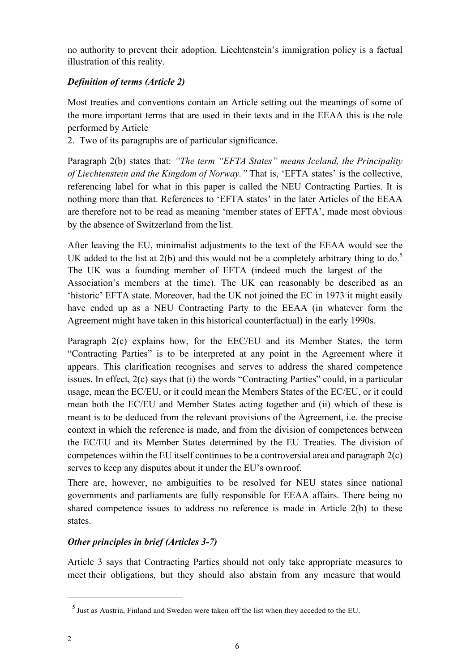no authority to prevent their adoption. Liechtenstein's immigration policy is a factual illustration of this reality.

# *Definition of terms (Article 2)*

Most treaties and conventions contain an Article setting out the meanings of some of the more important terms that are used in their texts and in the EEAA this is the role performed by Article

2. Two of its paragraphs are of particular significance.

Paragraph 2(b) states that: *"The term "EFTA States" means Iceland, the Principality of Liechtenstein and the Kingdom of Norway."* That is, 'EFTA states' is the collective, referencing label for what in this paper is called the NEU Contracting Parties. It is nothing more than that. References to 'EFTA states' in the later Articles of the EEAA are therefore not to be read as meaning 'member states of EFTA', made most obvious by the absence of Switzerland from the list.

After leaving the EU, minimalist adjustments to the text of the EEAA would see the UK added to the list at  $2(b)$  and this would not be a completely arbitrary thing to do.<sup>5</sup> The UK was a founding member of EFTA (indeed much the largest of the Association's members at the time). The UK can reasonably be described as an 'historic' EFTA state. Moreover, had the UK not joined the EC in 1973 it might easily have ended up as a NEU Contracting Party to the EEAA (in whatever form the Agreement might have taken in this historical counterfactual) in the early 1990s.

Paragraph 2(c) explains how, for the EEC/EU and its Member States, the term "Contracting Parties" is to be interpreted at any point in the Agreement where it appears. This clarification recognises and serves to address the shared competence issues. In effect, 2(c) says that (i) the words "Contracting Parties" could, in a particular usage, mean the EC/EU, or it could mean the Members States of the EC/EU, or it could mean both the EC/EU and Member States acting together and (ii) which of these is meant is to be deduced from the relevant provisions of the Agreement, i.e. the precise context in which the reference is made, and from the division of competences between the EC/EU and its Member States determined by the EU Treaties. The division of competences within the EU itself continues to be a controversial area and paragraph 2(c) serves to keep any disputes about it under the EU's own roof.

There are, however, no ambiguities to be resolved for NEU states since national governments and parliaments are fully responsible for EEAA affairs. There being no shared competence issues to address no reference is made in Article 2(b) to these states.

# *Other principles in brief (Articles 3-7)*

Article 3 says that Contracting Parties should not only take appropriate measures to meet their obligations, but they should also abstain from any measure that would

<sup>5</sup> Just as Austria, Finland and Sweden were taken off the list when they acceded to the EU.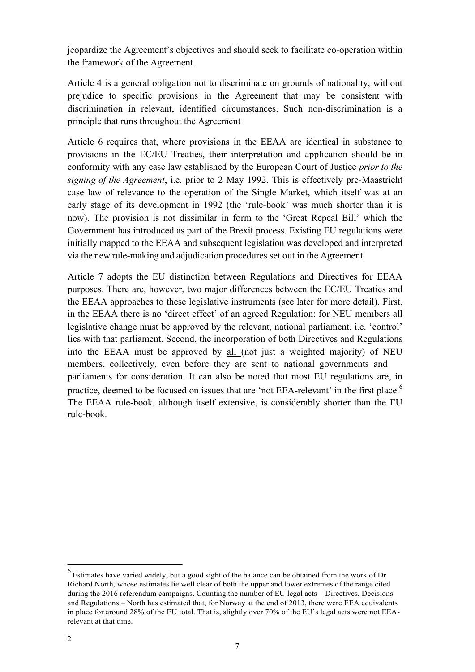jeopardize the Agreement's objectives and should seek to facilitate co-operation within the framework of the Agreement.

Article 4 is a general obligation not to discriminate on grounds of nationality, without prejudice to specific provisions in the Agreement that may be consistent with discrimination in relevant, identified circumstances. Such non-discrimination is a principle that runs throughout the Agreement

Article 6 requires that, where provisions in the EEAA are identical in substance to provisions in the EC/EU Treaties, their interpretation and application should be in conformity with any case law established by the European Court of Justice *prior to the signing of the Agreement*, i.e. prior to 2 May 1992. This is effectively pre-Maastricht case law of relevance to the operation of the Single Market, which itself was at an early stage of its development in 1992 (the 'rule-book' was much shorter than it is now). The provision is not dissimilar in form to the 'Great Repeal Bill' which the Government has introduced as part of the Brexit process. Existing EU regulations were initially mapped to the EEAA and subsequent legislation was developed and interpreted via the new rule-making and adjudication procedures set out in the Agreement.

Article 7 adopts the EU distinction between Regulations and Directives for EEAA purposes. There are, however, two major differences between the EC/EU Treaties and the EEAA approaches to these legislative instruments (see later for more detail). First, in the EEAA there is no 'direct effect' of an agreed Regulation: for NEU members all legislative change must be approved by the relevant, national parliament, i.e. 'control' lies with that parliament. Second, the incorporation of both Directives and Regulations into the EEAA must be approved by all (not just a weighted majority) of NEU members, collectively, even before they are sent to national governments and parliaments for consideration. It can also be noted that most EU regulations are, in practice, deemed to be focused on issues that are 'not EEA-relevant' in the first place.<sup>6</sup> The EEAA rule-book, although itself extensive, is considerably shorter than the EU rule-book.

<sup>&</sup>lt;sup>6</sup> Estimates have varied widely, but a good sight of the balance can be obtained from the work of Dr Richard North, whose estimates lie well clear of both the upper and lower extremes of the range cited during the 2016 referendum campaigns. Counting the number of EU legal acts – Directives, Decisions and Regulations – North has estimated that, for Norway at the end of 2013, there were EEA equivalents in place for around 28% of the EU total. That is, slightly over 70% of the EU's legal acts were not EEArelevant at that time.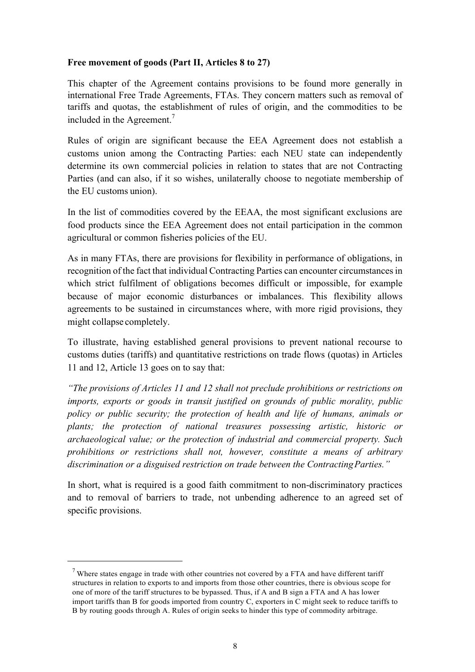### **Free movement of goods (Part II, Articles 8 to 27)**

This chapter of the Agreement contains provisions to be found more generally in international Free Trade Agreements, FTAs. They concern matters such as removal of tariffs and quotas, the establishment of rules of origin, and the commodities to be included in the Agreement.<sup>7</sup>

Rules of origin are significant because the EEA Agreement does not establish a customs union among the Contracting Parties: each NEU state can independently determine its own commercial policies in relation to states that are not Contracting Parties (and can also, if it so wishes, unilaterally choose to negotiate membership of the EU customs union).

In the list of commodities covered by the EEAA, the most significant exclusions are food products since the EEA Agreement does not entail participation in the common agricultural or common fisheries policies of the EU.

As in many FTAs, there are provisions for flexibility in performance of obligations, in recognition of the fact that individual Contracting Parties can encounter circumstancesin which strict fulfilment of obligations becomes difficult or impossible, for example because of major economic disturbances or imbalances. This flexibility allows agreements to be sustained in circumstances where, with more rigid provisions, they might collapse completely.

To illustrate, having established general provisions to prevent national recourse to customs duties (tariffs) and quantitative restrictions on trade flows (quotas) in Articles 11 and 12, Article 13 goes on to say that:

*"The provisions of Articles 11 and 12 shall not preclude prohibitions or restrictions on imports, exports or goods in transit justified on grounds of public morality, public policy or public security; the protection of health and life of humans, animals or plants; the protection of national treasures possessing artistic, historic or archaeological value; or the protection of industrial and commercial property. Such prohibitions or restrictions shall not, however, constitute a means of arbitrary discrimination or a disguised restriction on trade between the ContractingParties."*

In short, what is required is a good faith commitment to non-discriminatory practices and to removal of barriers to trade, not unbending adherence to an agreed set of specific provisions.

<sup>&</sup>lt;sup>7</sup> Where states engage in trade with other countries not covered by a FTA and have different tariff structures in relation to exports to and imports from those other countries, there is obvious scope for one of more of the tariff structures to be bypassed. Thus, if A and B sign a FTA and A has lower import tariffs than B for goods imported from country C, exporters in C might seek to reduce tariffs to B by routing goods through A. Rules of origin seeks to hinder this type of commodity arbitrage.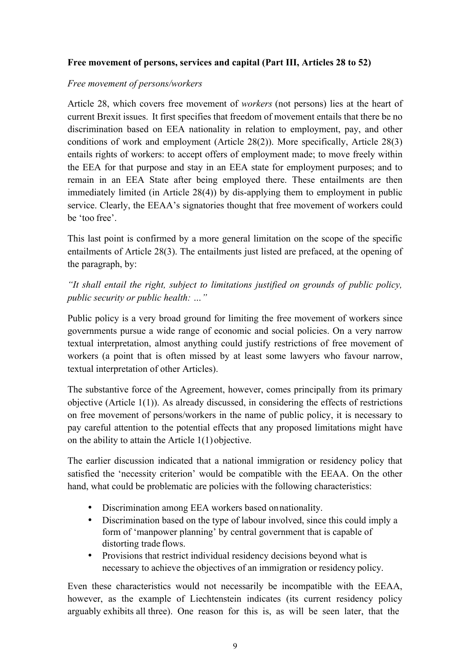## **Free movement of persons, services and capital (Part III, Articles 28 to 52)**

## *Free movement of persons/workers*

Article 28, which covers free movement of *workers* (not persons) lies at the heart of current Brexit issues. It first specifies that freedom of movement entails that there be no discrimination based on EEA nationality in relation to employment, pay, and other conditions of work and employment (Article 28(2)). More specifically, Article 28(3) entails rights of workers: to accept offers of employment made; to move freely within the EEA for that purpose and stay in an EEA state for employment purposes; and to remain in an EEA State after being employed there. These entailments are then immediately limited (in Article 28(4)) by dis-applying them to employment in public service. Clearly, the EEAA's signatories thought that free movement of workers could be 'too free'.

This last point is confirmed by a more general limitation on the scope of the specific entailments of Article 28(3). The entailments just listed are prefaced, at the opening of the paragraph, by:

*"It shall entail the right, subject to limitations justified on grounds of public policy, public security or public health: …"*

Public policy is a very broad ground for limiting the free movement of workers since governments pursue a wide range of economic and social policies. On a very narrow textual interpretation, almost anything could justify restrictions of free movement of workers (a point that is often missed by at least some lawyers who favour narrow, textual interpretation of other Articles).

The substantive force of the Agreement, however, comes principally from its primary objective (Article 1(1)). As already discussed, in considering the effects of restrictions on free movement of persons/workers in the name of public policy, it is necessary to pay careful attention to the potential effects that any proposed limitations might have on the ability to attain the Article 1(1) objective.

The earlier discussion indicated that a national immigration or residency policy that satisfied the 'necessity criterion' would be compatible with the EEAA. On the other hand, what could be problematic are policies with the following characteristics:

- Discrimination among EEA workers based onnationality.
- Discrimination based on the type of labour involved, since this could imply a form of 'manpower planning' by central government that is capable of distorting trade flows.
- Provisions that restrict individual residency decisions beyond what is necessary to achieve the objectives of an immigration or residency policy.

Even these characteristics would not necessarily be incompatible with the EEAA, however, as the example of Liechtenstein indicates (its current residency policy arguably exhibits all three). One reason for this is, as will be seen later, that the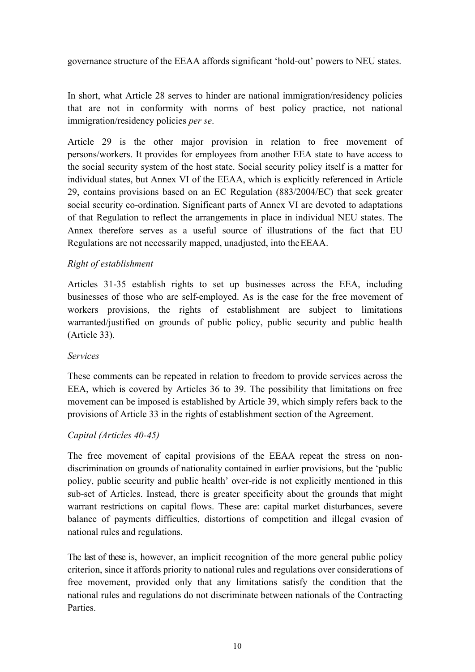governance structure of the EEAA affords significant 'hold-out' powers to NEU states.

In short, what Article 28 serves to hinder are national immigration/residency policies that are not in conformity with norms of best policy practice, not national immigration/residency policies *per se*.

Article 29 is the other major provision in relation to free movement of persons/workers. It provides for employees from another EEA state to have access to the social security system of the host state. Social security policy itself is a matter for individual states, but Annex VI of the EEAA, which is explicitly referenced in Article 29, contains provisions based on an EC Regulation (883/2004/EC) that seek greater social security co-ordination. Significant parts of Annex VI are devoted to adaptations of that Regulation to reflect the arrangements in place in individual NEU states. The Annex therefore serves as a useful source of illustrations of the fact that EU Regulations are not necessarily mapped, unadjusted, into theEEAA.

## *Right of establishment*

Articles 31-35 establish rights to set up businesses across the EEA, including businesses of those who are self-employed. As is the case for the free movement of workers provisions, the rights of establishment are subject to limitations warranted/justified on grounds of public policy, public security and public health (Article 33).

## *Services*

These comments can be repeated in relation to freedom to provide services across the EEA, which is covered by Articles 36 to 39. The possibility that limitations on free movement can be imposed is established by Article 39, which simply refers back to the provisions of Article 33 in the rights of establishment section of the Agreement.

## *Capital (Articles 40-45)*

The free movement of capital provisions of the EEAA repeat the stress on nondiscrimination on grounds of nationality contained in earlier provisions, but the 'public policy, public security and public health' over-ride is not explicitly mentioned in this sub-set of Articles. Instead, there is greater specificity about the grounds that might warrant restrictions on capital flows. These are: capital market disturbances, severe balance of payments difficulties, distortions of competition and illegal evasion of national rules and regulations.

The last of these is, however, an implicit recognition of the more general public policy criterion, since it affords priority to national rules and regulations over considerations of free movement, provided only that any limitations satisfy the condition that the national rules and regulations do not discriminate between nationals of the Contracting **Parties**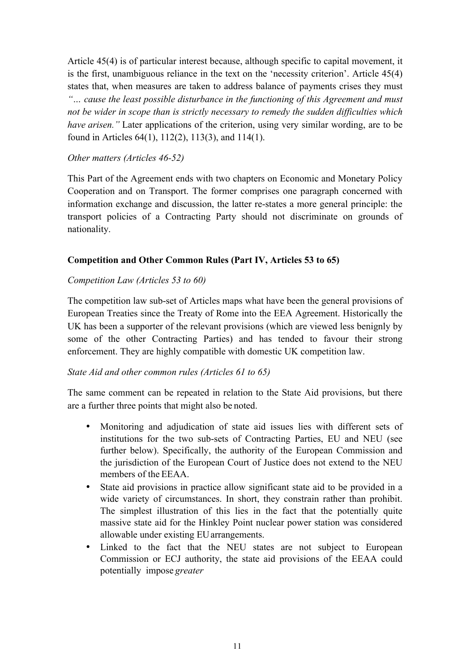Article 45(4) is of particular interest because, although specific to capital movement, it is the first, unambiguous reliance in the text on the 'necessity criterion'. Article 45(4) states that, when measures are taken to address balance of payments crises they must *"… cause the least possible disturbance in the functioning of this Agreement and must not be wider in scope than is strictly necessary to remedy the sudden difficulties which have arisen."* Later applications of the criterion, using very similar wording, are to be found in Articles 64(1), 112(2), 113(3), and 114(1).

### *Other matters (Articles 46-52)*

This Part of the Agreement ends with two chapters on Economic and Monetary Policy Cooperation and on Transport. The former comprises one paragraph concerned with information exchange and discussion, the latter re-states a more general principle: the transport policies of a Contracting Party should not discriminate on grounds of nationality.

## **Competition and Other Common Rules (Part IV, Articles 53 to 65)**

## *Competition Law (Articles 53 to 60)*

The competition law sub-set of Articles maps what have been the general provisions of European Treaties since the Treaty of Rome into the EEA Agreement. Historically the UK has been a supporter of the relevant provisions (which are viewed less benignly by some of the other Contracting Parties) and has tended to favour their strong enforcement. They are highly compatible with domestic UK competition law.

## *State Aid and other common rules (Articles 61 to 65)*

The same comment can be repeated in relation to the State Aid provisions, but there are a further three points that might also be noted.

- Monitoring and adjudication of state aid issues lies with different sets of institutions for the two sub-sets of Contracting Parties, EU and NEU (see further below). Specifically, the authority of the European Commission and the jurisdiction of the European Court of Justice does not extend to the NEU members of the EEAA.
- State aid provisions in practice allow significant state aid to be provided in a wide variety of circumstances. In short, they constrain rather than prohibit. The simplest illustration of this lies in the fact that the potentially quite massive state aid for the Hinkley Point nuclear power station was considered allowable under existing EUarrangements.
- Linked to the fact that the NEU states are not subject to European Commission or ECJ authority, the state aid provisions of the EEAA could potentially impose *greater*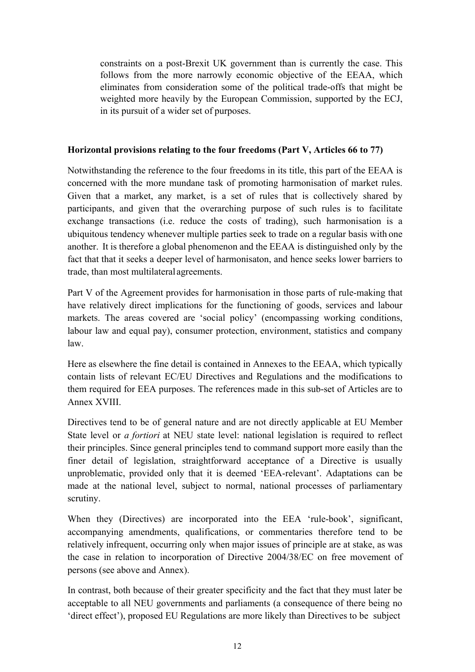constraints on a post-Brexit UK government than is currently the case. This follows from the more narrowly economic objective of the EEAA, which eliminates from consideration some of the political trade-offs that might be weighted more heavily by the European Commission, supported by the ECJ, in its pursuit of a wider set of purposes.

### **Horizontal provisions relating to the four freedoms (Part V, Articles 66 to 77)**

Notwithstanding the reference to the four freedoms in its title, this part of the EEAA is concerned with the more mundane task of promoting harmonisation of market rules. Given that a market, any market, is a set of rules that is collectively shared by participants, and given that the overarching purpose of such rules is to facilitate exchange transactions (i.e. reduce the costs of trading), such harmonisation is a ubiquitous tendency whenever multiple parties seek to trade on a regular basis with one another. It is therefore a global phenomenon and the EEAA is distinguished only by the fact that that it seeks a deeper level of harmonisaton, and hence seeks lower barriers to trade, than most multilateral agreements.

Part V of the Agreement provides for harmonisation in those parts of rule-making that have relatively direct implications for the functioning of goods, services and labour markets. The areas covered are 'social policy' (encompassing working conditions, labour law and equal pay), consumer protection, environment, statistics and company law.

Here as elsewhere the fine detail is contained in Annexes to the EEAA, which typically contain lists of relevant EC/EU Directives and Regulations and the modifications to them required for EEA purposes. The references made in this sub-set of Articles are to Annex XVIII.

Directives tend to be of general nature and are not directly applicable at EU Member State level or *a fortiori* at NEU state level: national legislation is required to reflect their principles. Since general principles tend to command support more easily than the finer detail of legislation, straightforward acceptance of a Directive is usually unproblematic, provided only that it is deemed 'EEA-relevant'. Adaptations can be made at the national level, subject to normal, national processes of parliamentary scrutiny.

When they (Directives) are incorporated into the EEA 'rule-book', significant, accompanying amendments, qualifications, or commentaries therefore tend to be relatively infrequent, occurring only when major issues of principle are at stake, as was the case in relation to incorporation of Directive 2004/38/EC on free movement of persons (see above and Annex).

In contrast, both because of their greater specificity and the fact that they must later be acceptable to all NEU governments and parliaments (a consequence of there being no 'direct effect'), proposed EU Regulations are more likely than Directives to be subject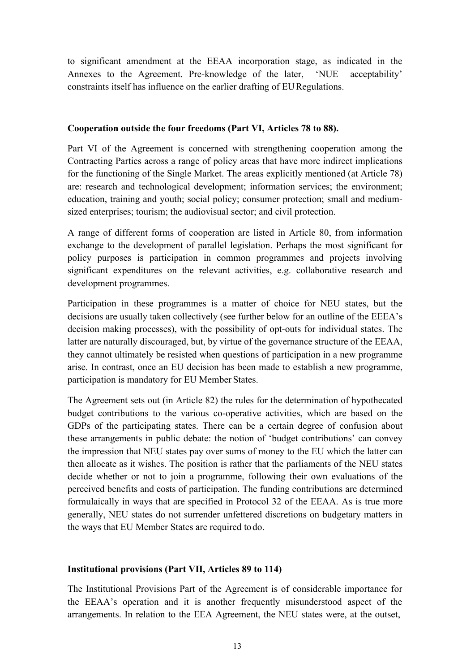to significant amendment at the EEAA incorporation stage, as indicated in the Annexes to the Agreement. Pre-knowledge of the later, 'NUE acceptability' constraints itself has influence on the earlier drafting of EURegulations.

## **Cooperation outside the four freedoms (Part VI, Articles 78 to 88).**

Part VI of the Agreement is concerned with strengthening cooperation among the Contracting Parties across a range of policy areas that have more indirect implications for the functioning of the Single Market. The areas explicitly mentioned (at Article 78) are: research and technological development; information services; the environment; education, training and youth; social policy; consumer protection; small and mediumsized enterprises; tourism; the audiovisual sector; and civil protection.

A range of different forms of cooperation are listed in Article 80, from information exchange to the development of parallel legislation. Perhaps the most significant for policy purposes is participation in common programmes and projects involving significant expenditures on the relevant activities, e.g. collaborative research and development programmes.

Participation in these programmes is a matter of choice for NEU states, but the decisions are usually taken collectively (see further below for an outline of the EEEA's decision making processes), with the possibility of opt-outs for individual states. The latter are naturally discouraged, but, by virtue of the governance structure of the EEAA, they cannot ultimately be resisted when questions of participation in a new programme arise. In contrast, once an EU decision has been made to establish a new programme, participation is mandatory for EU Member States.

The Agreement sets out (in Article 82) the rules for the determination of hypothecated budget contributions to the various co-operative activities, which are based on the GDPs of the participating states. There can be a certain degree of confusion about these arrangements in public debate: the notion of 'budget contributions' can convey the impression that NEU states pay over sums of money to the EU which the latter can then allocate as it wishes. The position is rather that the parliaments of the NEU states decide whether or not to join a programme, following their own evaluations of the perceived benefits and costs of participation. The funding contributions are determined formulaically in ways that are specified in Protocol 32 of the EEAA. As is true more generally, NEU states do not surrender unfettered discretions on budgetary matters in the ways that EU Member States are required todo.

## **Institutional provisions (Part VII, Articles 89 to 114)**

The Institutional Provisions Part of the Agreement is of considerable importance for the EEAA's operation and it is another frequently misunderstood aspect of the arrangements. In relation to the EEA Agreement, the NEU states were, at the outset,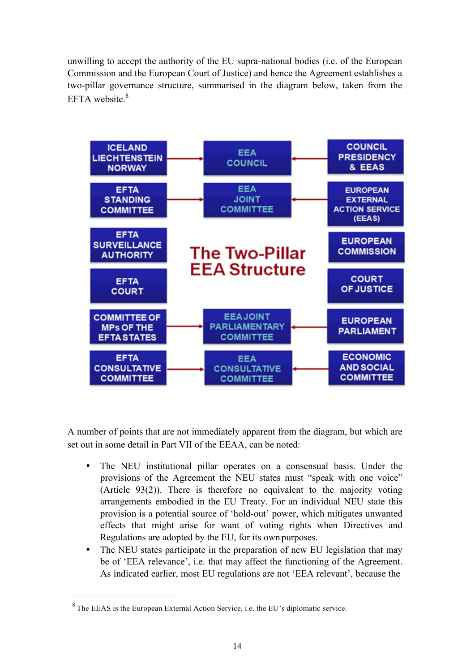unwilling to accept the authority of the EU supra-national bodies (i.e. of the European Commission and the European Court of Justice) and hence the Agreement establishes a two-pillar governance structure, summarised in the diagram below, taken from the EFTA website  $8$ 



A number of points that are not immediately apparent from the diagram, but which are set out in some detail in Part VII of the EEAA, can be noted:

- The NEU institutional pillar operates on a consensual basis. Under the provisions of the Agreement the NEU states must "speak with one voice" (Article 93(2)). There is therefore no equivalent to the majority voting arrangements embodied in the EU Treaty. For an individual NEU state this provision is a potential source of 'hold-out' power, which mitigates unwanted effects that might arise for want of voting rights when Directives and Regulations are adopted by the EU, for its own purposes.
- The NEU states participate in the preparation of new EU legislation that may be of 'EEA relevance', i.e. that may affect the functioning of the Agreement. As indicated earlier, most EU regulations are not 'EEA relevant', because the

<sup>8</sup> The EEAS is the European External Action Service, i.e. the EU's diplomatic service.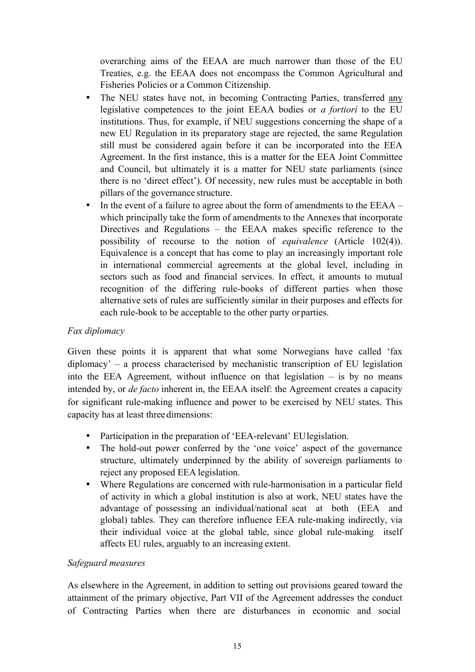overarching aims of the EEAA are much narrower than those of the EU Treaties, e.g. the EEAA does not encompass the Common Agricultural and Fisheries Policies or a Common Citizenship.

- The NEU states have not, in becoming Contracting Parties, transferred any legislative competences to the joint EEAA bodies or *a fortiori* to the EU institutions. Thus, for example, if NEU suggestions concerning the shape of a new EU Regulation in its preparatory stage are rejected, the same Regulation still must be considered again before it can be incorporated into the EEA Agreement. In the first instance, this is a matter for the EEA Joint Committee and Council, but ultimately it is a matter for NEU state parliaments (since there is no 'direct effect'). Of necessity, new rules must be acceptable in both pillars of the governance structure.
- In the event of a failure to agree about the form of amendments to the EEAA which principally take the form of amendments to the Annexes that incorporate Directives and Regulations – the EEAA makes specific reference to the possibility of recourse to the notion of *equivalence* (Article 102(4)). Equivalence is a concept that has come to play an increasingly important role in international commercial agreements at the global level, including in sectors such as food and financial services. In effect, it amounts to mutual recognition of the differing rule-books of different parties when those alternative sets of rules are sufficiently similar in their purposes and effects for each rule-book to be acceptable to the other party or parties.

## *Fax diplomacy*

Given these points it is apparent that what some Norwegians have called 'fax diplomacy' – a process characterised by mechanistic transcription of EU legislation into the EEA Agreement, without influence on that legislation  $-$  is by no means intended by, or *de facto* inherent in, the EEAA itself: the Agreement creates a capacity for significant rule-making influence and power to be exercised by NEU states. This capacity has at least threedimensions:

- Participation in the preparation of 'EEA-relevant' EU legislation.
- The hold-out power conferred by the 'one voice' aspect of the governance structure, ultimately underpinned by the ability of sovereign parliaments to reject any proposed EEA legislation.
- Where Regulations are concerned with rule-harmonisation in a particular field of activity in which a global institution is also at work, NEU states have the advantage of possessing an individual/national seat at both (EEA and global) tables. They can therefore influence EEA rule-making indirectly, via their individual voice at the global table, since global rule-making itself affects EU rules, arguably to an increasing extent.

## *Safeguard measures*

As elsewhere in the Agreement, in addition to setting out provisions geared toward the attainment of the primary objective, Part VII of the Agreement addresses the conduct of Contracting Parties when there are disturbances in economic and social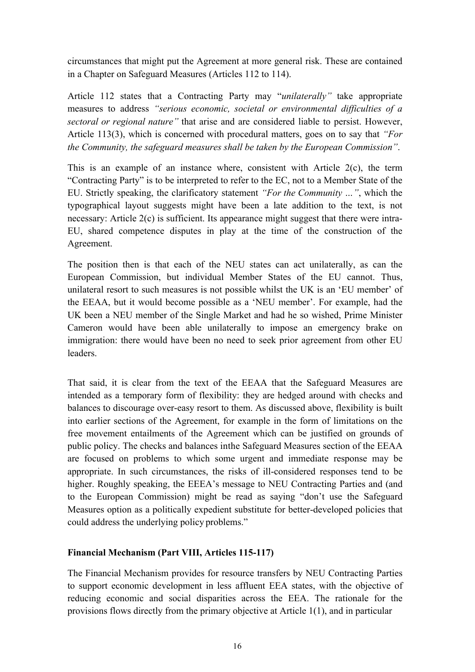circumstances that might put the Agreement at more general risk. These are contained in a Chapter on Safeguard Measures (Articles 112 to 114).

Article 112 states that a Contracting Party may "*unilaterally"* take appropriate measures to address *"serious economic, societal or environmental difficulties of a sectoral or regional nature"* that arise and are considered liable to persist. However, Article 113(3), which is concerned with procedural matters, goes on to say that *"For the Community, the safeguard measures shall be taken by the European Commission"*.

This is an example of an instance where, consistent with Article 2(c), the term "Contracting Party" is to be interpreted to refer to the EC, not to a Member State of the EU. Strictly speaking, the clarificatory statement *"For the Community …"*, which the typographical layout suggests might have been a late addition to the text, is not necessary: Article 2(c) is sufficient. Its appearance might suggest that there were intra-EU, shared competence disputes in play at the time of the construction of the Agreement.

The position then is that each of the NEU states can act unilaterally, as can the European Commission, but individual Member States of the EU cannot. Thus, unilateral resort to such measures is not possible whilst the UK is an 'EU member' of the EEAA, but it would become possible as a 'NEU member'. For example, had the UK been a NEU member of the Single Market and had he so wished, Prime Minister Cameron would have been able unilaterally to impose an emergency brake on immigration: there would have been no need to seek prior agreement from other EU leaders.

That said, it is clear from the text of the EEAA that the Safeguard Measures are intended as a temporary form of flexibility: they are hedged around with checks and balances to discourage over-easy resort to them. As discussed above, flexibility is built into earlier sections of the Agreement, for example in the form of limitations on the free movement entailments of the Agreement which can be justified on grounds of public policy. The checks and balances inthe Safeguard Measures section of the EEAA are focused on problems to which some urgent and immediate response may be appropriate. In such circumstances, the risks of ill-considered responses tend to be higher. Roughly speaking, the EEEA's message to NEU Contracting Parties and (and to the European Commission) might be read as saying "don't use the Safeguard Measures option as a politically expedient substitute for better-developed policies that could address the underlying policy problems."

## **Financial Mechanism (Part VIII, Articles 115-117)**

The Financial Mechanism provides for resource transfers by NEU Contracting Parties to support economic development in less affluent EEA states, with the objective of reducing economic and social disparities across the EEA. The rationale for the provisions flows directly from the primary objective at Article 1(1), and in particular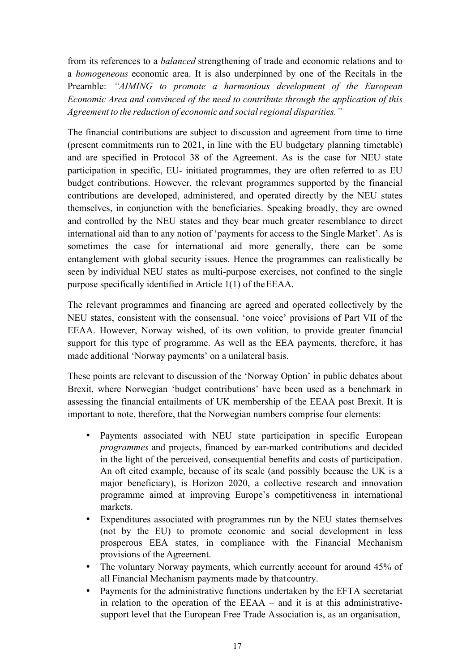from its references to a *balanced* strengthening of trade and economic relations and to a *homogeneous* economic area. It is also underpinned by one of the Recitals in the Preamble: *"AIMING to promote a harmonious development of the European Economic Area and convinced of the need to contribute through the application of this Agreement* to the *reduction* of *economic* and social regional disparities."

The financial contributions are subject to discussion and agreement from time to time (present commitments run to 2021, in line with the EU budgetary planning timetable) and are specified in Protocol 38 of the Agreement. As is the case for NEU state participation in specific, EU- initiated programmes, they are often referred to as EU budget contributions. However, the relevant programmes supported by the financial contributions are developed, administered, and operated directly by the NEU states themselves, in conjunction with the beneficiaries. Speaking broadly, they are owned and controlled by the NEU states and they bear much greater resemblance to direct international aid than to any notion of 'payments for access to the Single Market'. As is sometimes the case for international aid more generally, there can be some entanglement with global security issues. Hence the programmes can realistically be seen by individual NEU states as multi-purpose exercises, not confined to the single purpose specifically identified in Article 1(1) of theEEAA.

The relevant programmes and financing are agreed and operated collectively by the NEU states, consistent with the consensual, 'one voice' provisions of Part VII of the EEAA. However, Norway wished, of its own volition, to provide greater financial support for this type of programme. As well as the EEA payments, therefore, it has made additional 'Norway payments' on a unilateral basis.

These points are relevant to discussion of the 'Norway Option' in public debates about Brexit, where Norwegian 'budget contributions' have been used as a benchmark in assessing the financial entailments of UK membership of the EEAA post Brexit. It is important to note, therefore, that the Norwegian numbers comprise four elements:

- Payments associated with NEU state participation in specific European *programmes* and projects, financed by ear-marked contributions and decided in the light of the perceived, consequential benefits and costs of participation. An oft cited example, because of its scale (and possibly because the UK is a major beneficiary), is Horizon 2020, a collective research and innovation programme aimed at improving Europe's competitiveness in international markets.
- Expenditures associated with programmes run by the NEU states themselves (not by the EU) to promote economic and social development in less prosperous EEA states, in compliance with the Financial Mechanism provisions of the Agreement.
- The voluntary Norway payments, which currently account for around 45% of all Financial Mechanism payments made by thatcountry.
- Payments for the administrative functions undertaken by the EFTA secretariat in relation to the operation of the EEAA – and it is at this administrativesupport level that the European Free Trade Association is, as an organisation,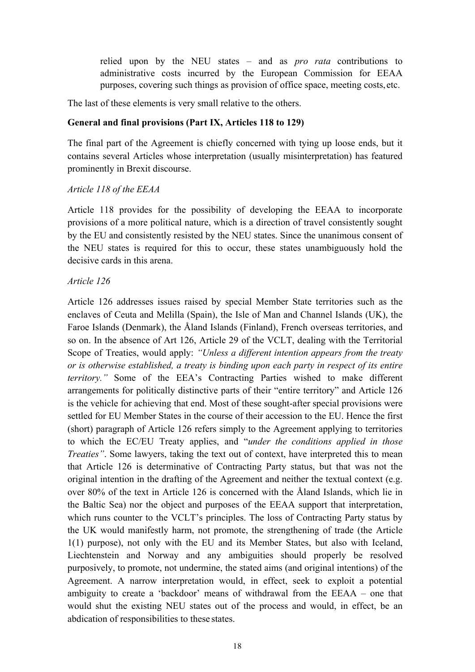relied upon by the NEU states – and as *pro rata* contributions to administrative costs incurred by the European Commission for EEAA purposes, covering such things as provision of office space, meeting costs, etc.

The last of these elements is very small relative to the others.

## **General and final provisions (Part IX, Articles 118 to 129)**

The final part of the Agreement is chiefly concerned with tying up loose ends, but it contains several Articles whose interpretation (usually misinterpretation) has featured prominently in Brexit discourse.

### *Article 118 of the EEAA*

Article 118 provides for the possibility of developing the EEAA to incorporate provisions of a more political nature, which is a direction of travel consistently sought by the EU and consistently resisted by the NEU states. Since the unanimous consent of the NEU states is required for this to occur, these states unambiguously hold the decisive cards in this arena.

## *Article 126*

Article 126 addresses issues raised by special Member State territories such as the enclaves of Ceuta and Melilla (Spain), the Isle of Man and Channel Islands (UK), the Faroe Islands (Denmark), the Åland Islands (Finland), French overseas territories, and so on. In the absence of Art 126, Article 29 of the VCLT, dealing with the Territorial Scope of Treaties, would apply: *"Unless a different intention appears from the treaty or is otherwise established, a treaty is binding upon each party in respect of its entire territory."* Some of the EEA's Contracting Parties wished to make different arrangements for politically distinctive parts of their "entire territory" and Article 126 is the vehicle for achieving that end. Most of these sought-after special provisions were settled for EU Member States in the course of their accession to the EU. Hence the first (short) paragraph of Article 126 refers simply to the Agreement applying to territories to which the EC/EU Treaty applies, and "*under the conditions applied in those Treaties*". Some lawyers, taking the text out of context, have interpreted this to mean that Article 126 is determinative of Contracting Party status, but that was not the original intention in the drafting of the Agreement and neither the textual context (e.g. over 80% of the text in Article 126 is concerned with the Åland Islands, which lie in the Baltic Sea) nor the object and purposes of the EEAA support that interpretation, which runs counter to the VCLT's principles. The loss of Contracting Party status by the UK would manifestly harm, not promote, the strengthening of trade (the Article 1(1) purpose), not only with the EU and its Member States, but also with Iceland, Liechtenstein and Norway and any ambiguities should properly be resolved purposively, to promote, not undermine, the stated aims (and original intentions) of the Agreement. A narrow interpretation would, in effect, seek to exploit a potential ambiguity to create a 'backdoor' means of withdrawal from the EEAA – one that would shut the existing NEU states out of the process and would, in effect, be an abdication of responsibilities to these states.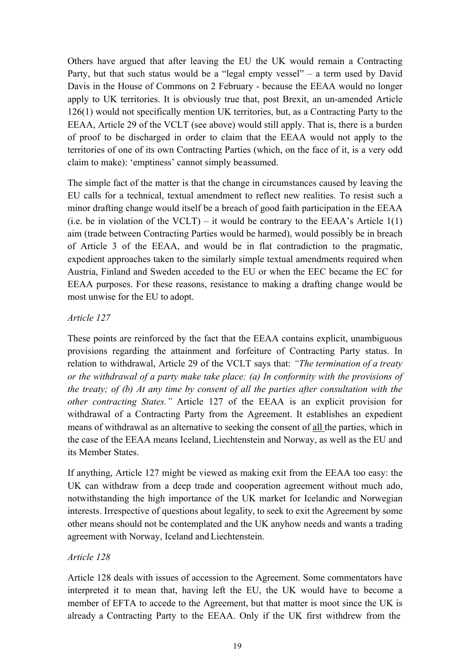Others have argued that after leaving the EU the UK would remain a Contracting Party, but that such status would be a "legal empty vessel" – a term used by David Davis in the House of Commons on 2 February - because the EEAA would no longer apply to UK territories. It is obviously true that, post Brexit, an un-amended Article 126(1) would not specifically mention UK territories, but, as a Contracting Party to the EEAA, Article 29 of the VCLT (see above) would still apply. That is, there is a burden of proof to be discharged in order to claim that the EEAA would not apply to the territories of one of its own Contracting Parties (which, on the face of it, is a very odd claim to make): 'emptiness' cannot simply beassumed.

The simple fact of the matter is that the change in circumstances caused by leaving the EU calls for a technical, textual amendment to reflect new realities. To resist such a minor drafting change would itself be a breach of good faith participation in the EEAA (i.e. be in violation of the VCLT) – it would be contrary to the EEAA's Article  $1(1)$ aim (trade between Contracting Parties would be harmed), would possibly be in breach of Article 3 of the EEAA, and would be in flat contradiction to the pragmatic, expedient approaches taken to the similarly simple textual amendments required when Austria, Finland and Sweden acceded to the EU or when the EEC became the EC for EEAA purposes. For these reasons, resistance to making a drafting change would be most unwise for the EU to adopt.

## *Article 127*

These points are reinforced by the fact that the EEAA contains explicit, unambiguous provisions regarding the attainment and forfeiture of Contracting Party status. In relation to withdrawal, Article 29 of the VCLT says that: *"The termination of a treaty or the withdrawal of a party make take place: (a) In conformity with the provisions of the treaty; of (b) At any time by consent of all the parties after consultation with the other contracting States."* Article 127 of the EEAA is an explicit provision for withdrawal of a Contracting Party from the Agreement. It establishes an expedient means of withdrawal as an alternative to seeking the consent of all the parties, which in the case of the EEAA means Iceland, Liechtenstein and Norway, as well as the EU and its Member States.

If anything, Article 127 might be viewed as making exit from the EEAA too easy: the UK can withdraw from a deep trade and cooperation agreement without much ado, notwithstanding the high importance of the UK market for Icelandic and Norwegian interests. Irrespective of questions about legality, to seek to exit the Agreement by some other means should not be contemplated and the UK anyhow needs and wants a trading agreement with Norway, Iceland and Liechtenstein.

## *Article 128*

Article 128 deals with issues of accession to the Agreement. Some commentators have interpreted it to mean that, having left the EU, the UK would have to become a member of EFTA to accede to the Agreement, but that matter is moot since the UK is already a Contracting Party to the EEAA. Only if the UK first withdrew from the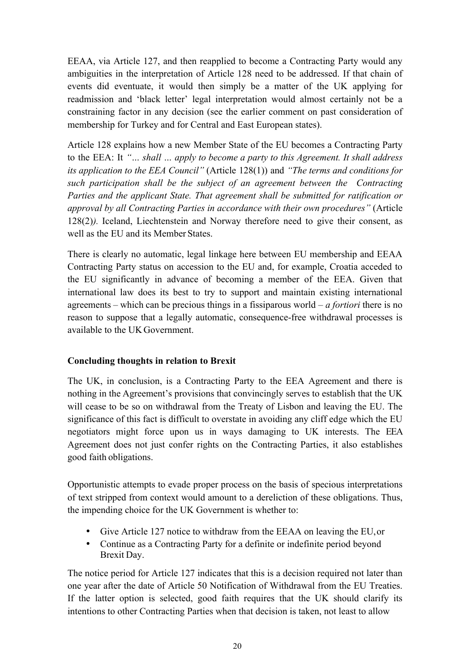EEAA, via Article 127, and then reapplied to become a Contracting Party would any ambiguities in the interpretation of Article 128 need to be addressed. If that chain of events did eventuate, it would then simply be a matter of the UK applying for readmission and 'black letter' legal interpretation would almost certainly not be a constraining factor in any decision (see the earlier comment on past consideration of membership for Turkey and for Central and East European states).

Article 128 explains how a new Member State of the EU becomes a Contracting Party to the EEA: It *"… shall … apply to become a party to this Agreement. It shall address its application to the EEA Council"* (Article 128(1)) and *"The terms and conditions for such participation shall be the subject of an agreement between the Contracting Parties and the applicant State. That agreement shall be submitted for ratification or approval by all Contracting Parties in accordance with their own procedures"* (Article 128(2)*).* Iceland, Liechtenstein and Norway therefore need to give their consent, as well as the EU and its Member States.

There is clearly no automatic, legal linkage here between EU membership and EEAA Contracting Party status on accession to the EU and, for example, Croatia acceded to the EU significantly in advance of becoming a member of the EEA. Given that international law does its best to try to support and maintain existing international agreements – which can be precious things in a fissiparous world – *a fortiori* there is no reason to suppose that a legally automatic, consequence-free withdrawal processes is available to the UK Government.

## **Concluding thoughts in relation to Brexit**

The UK, in conclusion, is a Contracting Party to the EEA Agreement and there is nothing in the Agreement's provisions that convincingly serves to establish that the UK will cease to be so on withdrawal from the Treaty of Lisbon and leaving the EU. The significance of this fact is difficult to overstate in avoiding any cliff edge which the EU negotiators might force upon us in ways damaging to UK interests. The EEA Agreement does not just confer rights on the Contracting Parties, it also establishes good faith obligations.

Opportunistic attempts to evade proper process on the basis of specious interpretations of text stripped from context would amount to a dereliction of these obligations. Thus, the impending choice for the UK Government is whether to:

- Give Article 127 notice to withdraw from the EEAA on leaving the EU,or
- Continue as a Contracting Party for a definite or indefinite period beyond Brexit Day.

The notice period for Article 127 indicates that this is a decision required not later than one year after the date of Article 50 Notification of Withdrawal from the EU Treaties. If the latter option is selected, good faith requires that the UK should clarify its intentions to other Contracting Parties when that decision is taken, not least to allow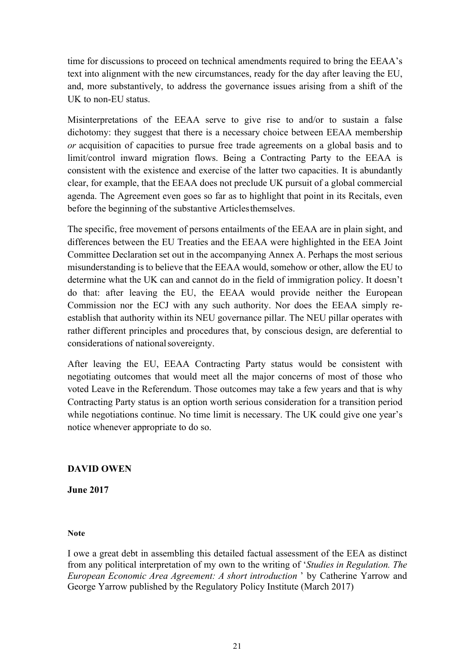time for discussions to proceed on technical amendments required to bring the EEAA's text into alignment with the new circumstances, ready for the day after leaving the EU, and, more substantively, to address the governance issues arising from a shift of the UK to non-EU status.

Misinterpretations of the EEAA serve to give rise to and/or to sustain a false dichotomy: they suggest that there is a necessary choice between EEAA membership *or* acquisition of capacities to pursue free trade agreements on a global basis and to limit/control inward migration flows. Being a Contracting Party to the EEAA is consistent with the existence and exercise of the latter two capacities. It is abundantly clear, for example, that the EEAA does not preclude UK pursuit of a global commercial agenda. The Agreement even goes so far as to highlight that point in its Recitals, even before the beginning of the substantive Articlesthemselves.

The specific, free movement of persons entailments of the EEAA are in plain sight, and differences between the EU Treaties and the EEAA were highlighted in the EEA Joint Committee Declaration set out in the accompanying Annex A. Perhaps the most serious misunderstanding is to believe that the EEAA would, somehow or other, allow the EU to determine what the UK can and cannot do in the field of immigration policy. It doesn't do that: after leaving the EU, the EEAA would provide neither the European Commission nor the ECJ with any such authority. Nor does the EEAA simply reestablish that authority within its NEU governance pillar. The NEU pillar operates with rather different principles and procedures that, by conscious design, are deferential to considerations of nationalsovereignty.

After leaving the EU, EEAA Contracting Party status would be consistent with negotiating outcomes that would meet all the major concerns of most of those who voted Leave in the Referendum. Those outcomes may take a few years and that is why Contracting Party status is an option worth serious consideration for a transition period while negotiations continue. No time limit is necessary. The UK could give one year's notice whenever appropriate to do so.

## **DAVID OWEN**

**June 2017**

#### **Note**

I owe a great debt in assembling this detailed factual assessment of the EEA as distinct from any political interpretation of my own to the writing of '*Studies in Regulation. The European Economic Area Agreement: A short introduction* ' by Catherine Yarrow and George Yarrow published by the Regulatory Policy Institute (March 2017)